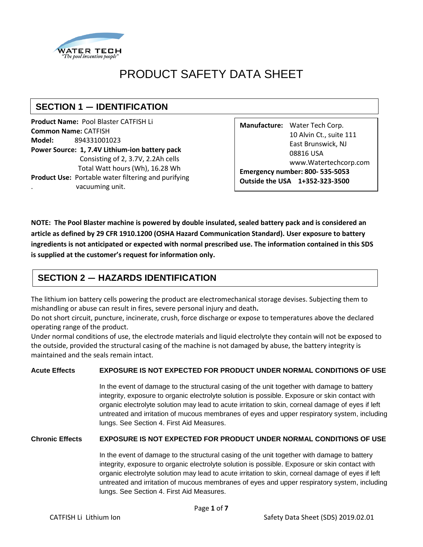

# PRODUCT SAFETY DATA SHEET

# **SECTION 1 ― IDENTIFICATION**

**Product Name:** Pool Blaster CATFISH Li **Common Name:** CATFISH **Model:** 894331001023 **Power Source: 1, 7.4V Lithium-ion battery pack** Consisting of 2, 3.7V, 2.2Ah cells Total Watt hours (Wh), 16.28 Wh **Product Use:** Portable water filtering and purifying . vacuuming unit.

**Manufacture:** Water Tech Corp. 10 Alvin Ct., suite 111 East Brunswick, NJ 08816 USA www.Watertechcorp.com **Emergency number: 800- 535-5053 Outside the USA 1+352-323-3500**

**NOTE: The Pool Blaster machine is powered by double insulated, sealed battery pack and is considered an article as defined by 29 CFR 1910.1200 (OSHA Hazard Communication Standard). User exposure to battery ingredients is not anticipated or expected with normal prescribed use. The information contained in this SDS is supplied at the customer's request for information only.**

# **SECTION 2 ― HAZARDS IDENTIFICATION**

The lithium ion battery cells powering the product are electromechanical storage devises. Subjecting them to mishandling or abuse can result in fires, severe personal injury and death**.** 

Do not short circuit, puncture, incinerate, crush, force discharge or expose to temperatures above the declared operating range of the product.

Under normal conditions of use, the electrode materials and liquid electrolyte they contain will not be exposed to the outside, provided the structural casing of the machine is not damaged by abuse, the battery integrity is maintained and the seals remain intact.

#### **Acute Effects EXPOSURE IS NOT EXPECTED FOR PRODUCT UNDER NORMAL CONDITIONS OF USE**

In the event of damage to the structural casing of the unit together with damage to battery integrity, exposure to organic electrolyte solution is possible. Exposure or skin contact with organic electrolyte solution may lead to acute irritation to skin, corneal damage of eyes if left untreated and irritation of mucous membranes of eyes and upper respiratory system, including lungs. See Section 4. First Aid Measures.

#### **Chronic Effects EXPOSURE IS NOT EXPECTED FOR PRODUCT UNDER NORMAL CONDITIONS OF USE**

In the event of damage to the structural casing of the unit together with damage to battery integrity, exposure to organic electrolyte solution is possible. Exposure or skin contact with organic electrolyte solution may lead to acute irritation to skin, corneal damage of eyes if left untreated and irritation of mucous membranes of eyes and upper respiratory system, including lungs. See Section 4. First Aid Measures.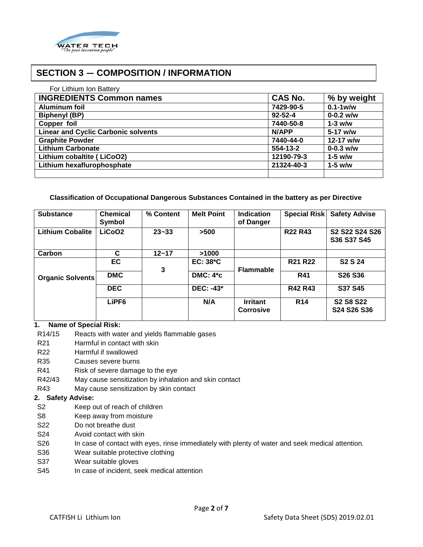

### **SECTION 3 ― COMPOSITION / INFORMATION**

| For Lithium Ion Battery                    |                |               |
|--------------------------------------------|----------------|---------------|
| <b>INGREDIENTS Common names</b>            | <b>CAS No.</b> | % by weight   |
| <b>Aluminum foil</b>                       | 7429-90-5      | $0.1 - 1$ w/w |
| <b>Biphenyl (BP)</b>                       | $92 - 52 - 4$  | $0 - 0.2$ w/w |
| Copper foil                                | 7440-50-8      | $1-3$ w/w     |
| <b>Linear and Cyclic Carbonic solvents</b> | N/APP          | $5-17$ w/w    |
| <b>Graphite Powder</b>                     | 7440-44-0      | 12-17 w/w     |
| <b>Lithium Carbonate</b>                   | $554-13-2$     | $0 - 0.3$ w/w |
| Lithium cobaltite (LiCoO2)                 | 12190-79-3     | $1-5$ w/w     |
| Lithium hexaflurophosphate                 | 21324-40-3     | $1-5$ w/w     |
|                                            |                |               |

#### **Classification of Occupational Dangerous Substances Contained in the battery as per Directive**

| <b>Substance</b>        | <b>Chemical</b><br>Symbol | % Content | <b>Melt Point</b> | <b>Indication</b><br>of Danger      | <b>Special Risk</b> | <b>Safety Advise</b>            |
|-------------------------|---------------------------|-----------|-------------------|-------------------------------------|---------------------|---------------------------------|
| <b>Lithium Cobalite</b> | LiCoO <sub>2</sub>        | $23 - 33$ | >500              |                                     | <b>R22 R43</b>      | S2 S22 S24 S26<br>S36 S37 S45   |
| Carbon                  | C                         | $12 - 17$ | >1000             |                                     |                     |                                 |
|                         | EC                        | 3         | $EC: 38*C$        | <b>Flammable</b>                    | <b>R21 R22</b>      | S <sub>2</sub> S <sub>24</sub>  |
| <b>Organic Solvents</b> | <b>DMC</b>                |           | <b>DMC: 4*c</b>   |                                     | <b>R41</b>          | S26 S36                         |
|                         | <b>DEC</b>                |           | <b>DEC: -43*</b>  |                                     | <b>R42 R43</b>      | <b>S37 S45</b>                  |
|                         | LiPF <sub>6</sub>         |           | N/A               | <b>Irritant</b><br><b>Corrosive</b> | <b>R14</b>          | <b>S2 S8 S22</b><br>S24 S26 S36 |

#### **1. Name of Special Risk:**

- R14/15 Reacts with water and yields flammable gases
- R<sub>21</sub> Harmful in contact with skin
- R22 Harmful if swallowed
- R35 Causes severe burns
- R41 Risk of severe damage to the eye
- R42/43 May cause sensitization by inhalation and skin contact
- R43 May cause sensitization by skin contact

#### **2. Safety Advise:**

- S2 Keep out of reach of children
- S8 Keep away from moisture
- S22 Do not breathe dust
- S24 Avoid contact with skin
- S26 In case of contact with eyes, rinse immediately with plenty of water and seek medical attention.
- S36 Wear suitable protective clothing
- S37 Wear suitable gloves
- S45 In case of incident, seek medical attention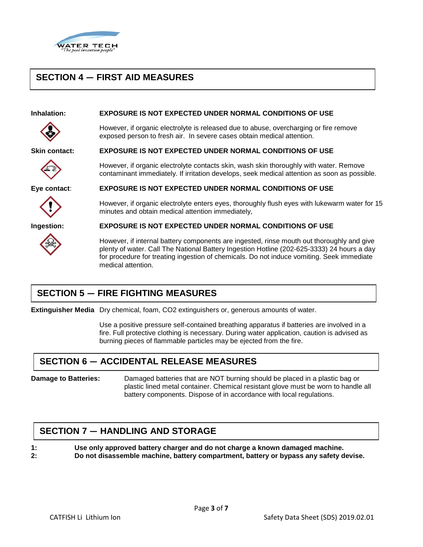

## **SECTION 4 ― FIRST AID MEASURES**

#### **Inhalation: EXPOSURE IS NOT EXPECTED UNDER NORMAL CONDITIONS OF USE**

**Skin contact: EXPOSURE IS NOT EXPECTED UNDER NORMAL CONDITIONS OF USE**



**Eye contact**: **EXPOSURE IS NOT EXPECTED UNDER NORMAL CONDITIONS OF USE**



minutes and obtain medical attention immediately,

However, if organic electrolyte is released due to abuse, overcharging or fire remove

However, if organic electrolyte contacts skin, wash skin thoroughly with water. Remove contaminant immediately. If irritation develops, seek medical attention as soon as possible.

**Ingestion: EXPOSURE IS NOT EXPECTED UNDER NORMAL CONDITIONS OF USE**

exposed person to fresh air. In severe cases obtain medical attention.

However, if internal battery components are ingested, rinse mouth out thoroughly and give plenty of water. Call The National Battery Ingestion Hotline (202-625-3333) 24 hours a day for procedure for treating ingestion of chemicals. Do not induce vomiting. Seek immediate medical attention.

However, if organic electrolyte enters eyes, thoroughly flush eyes with lukewarm water for 15

# **SECTION 5 ― FIRE FIGHTING MEASURES**

**Extinguisher Media** Dry chemical, foam, CO2 extinguishers or, generous amounts of water.

Use a positive pressure self-contained breathing apparatus if batteries are involved in a fire. Full protective clothing is necessary. During water application, caution is advised as burning pieces of flammable particles may be ejected from the fire.

### **SECTION 6 ― ACCIDENTAL RELEASE MEASURES**

**Damage to Batteries:** Damaged batteries that are NOT burning should be placed in a plastic bag or plastic lined metal container. Chemical resistant glove must be worn to handle all battery components. Dispose of in accordance with local regulations.

### **SECTION 7 ― HANDLING AND STORAGE**

**1: Use only approved battery charger and do not charge a known damaged machine. 2: Do not disassemble machine, battery compartment, battery or bypass any safety devise.**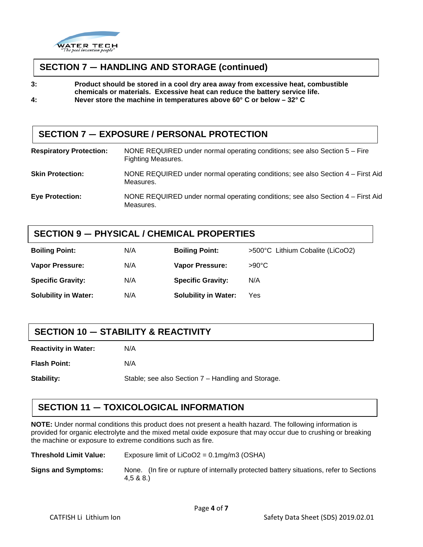

#### **SECTION 7 ― HANDLING AND STORAGE (continued)**

**3: Product should be stored in a cool dry area away from excessive heat, combustible chemicals or materials. Excessive heat can reduce the battery service life.**

**4: Never store the machine in temperatures above 60° C or below – 32° C**

### **SECTION 7 ― EXPOSURE / PERSONAL PROTECTION**

| <b>Respiratory Protection:</b> | NONE REQUIRED under normal operating conditions; see also Section $5 -$ Fire<br><b>Fighting Measures.</b> |
|--------------------------------|-----------------------------------------------------------------------------------------------------------|
| <b>Skin Protection:</b>        | NONE REQUIRED under normal operating conditions; see also Section 4 – First Aid<br>Measures.              |
| <b>Eye Protection:</b>         | NONE REQUIRED under normal operating conditions; see also Section 4 – First Aid<br>Measures.              |

#### **SECTION 9 ― PHYSICAL / CHEMICAL PROPERTIES**

| <b>Boiling Point:</b>       | N/A | <b>Boiling Point:</b>       | >500°C Lithium Cobalite (LiCoO2) |
|-----------------------------|-----|-----------------------------|----------------------------------|
| <b>Vapor Pressure:</b>      | N/A | <b>Vapor Pressure:</b>      | $>90^{\circ}$ C                  |
| <b>Specific Gravity:</b>    | N/A | <b>Specific Gravity:</b>    | N/A                              |
| <b>Solubility in Water:</b> | N/A | <b>Solubility in Water:</b> | Yes                              |

### **SECTION 10 ― STABILITY & REACTIVITY**

**Reactivity in Water:** N/A

**Flash Point:** N/A

**Stability:** Stable; see also Section 7 – Handling and Storage.

### **SECTION 11 ― TOXICOLOGICAL INFORMATION**

**NOTE:** Under normal conditions this product does not present a health hazard. The following information is provided for organic electrolyte and the mixed metal oxide exposure that may occur due to crushing or breaking the machine or exposure to extreme conditions such as fire.

| <b>Threshold Limit Value:</b> | Exposure limit of $LiCoO2 = 0.1$ mg/m3 (OSHA)                                                         |  |  |  |
|-------------------------------|-------------------------------------------------------------------------------------------------------|--|--|--|
| <b>Signs and Symptoms:</b>    | None. (In fire or rupture of internally protected battery situations, refer to Sections<br>4.5 & 8.8. |  |  |  |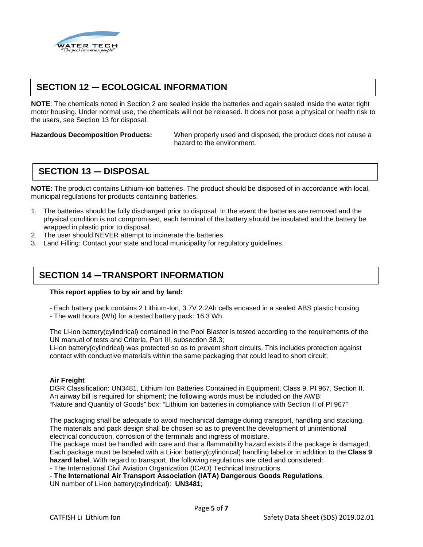

## **SECTION 12 ― ECOLOGICAL INFORMATION**

**NOTE**: The chemicals noted in Section 2 are sealed inside the batteries and again sealed inside the water tight motor housing. Under normal use, the chemicals will not be released. It does not pose a physical or health risk to the users, see Section 13 for disposal.

**Hazardous Decomposition Products:** When properly used and disposed, the product does not cause a hazard to the environment.

### **SECTION 13 ― DISPOSAL**

**NOTE:** The product contains Lithium-ion batteries. The product should be disposed of in accordance with local, municipal regulations for products containing batteries.

- 1. The batteries should be fully discharged prior to disposal. In the event the batteries are removed and the physical condition is not compromised, each terminal of the battery should be insulated and the battery be wrapped in plastic prior to disposal.
- 2. The user should NEVER attempt to incinerate the batteries.
- 3. Land Filling: Contact your state and local municipality for regulatory guidelines.

#### **SECTION 14 ―TRANSPORT INFORMATION**

#### **This report applies to by air and by land:**

- Each battery pack contains 2 Lithium-Ion, 3.7V 2.2Ah cells encased in a sealed ABS plastic housing.

- The watt hours (Wh) for a tested battery pack: 16.3 Wh.

The Li-ion battery(cylindrical) contained in the Pool Blaster is tested according to the requirements of the UN manual of tests and Criteria, Part III, subsection 38.3;

Li-ion battery(cylindrical) was protected so as to prevent short circuits. This includes protection against contact with conductive materials within the same packaging that could lead to short circuit;

#### **Air Freight**

DGR Classification: UN3481, Lithium Ion Batteries Contained in Equipment, Class 9, PI 967, Section II. An airway bill is required for shipment; the following words must be included on the AWB: "Nature and Quantity of Goods" box: "Lithium ion batteries in compliance with Section II of PI 967"

The packaging shall be adequate to avoid mechanical damage during transport, handling and stacking. The materials and pack design shall be chosen so as to prevent the development of unintentional electrical conduction, corrosion of the terminals and ingress of moisture.

The package must be handled with care and that a flammability hazard exists if the package is damaged; Each package must be labeled with a Li-ion battery(cylindrical) handling label or in addition to the **Class 9 hazard label**. With regard to transport, the following regulations are cited and considered:

- The International Civil Aviation Organization (ICAO) Technical Instructions.

- **The International Air Transport Association (IATA) Dangerous Goods Regulations**. UN number of Li-ion battery(cylindrical): **UN3481**;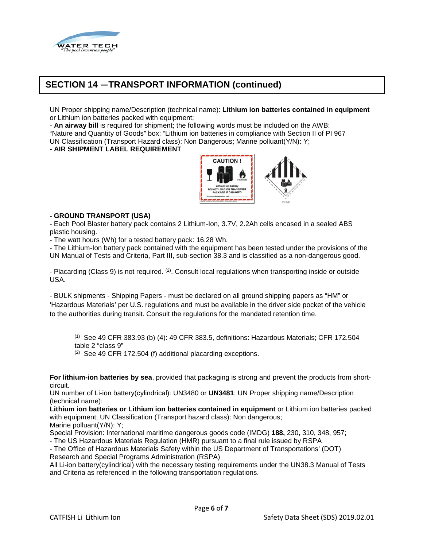

## **SECTION 14 ―TRANSPORT INFORMATION (continued)**

UN Proper shipping name/Description (technical name): **Lithium ion batteries contained in equipment**  or Lithium ion batteries packed with equipment;

- **An airway bill** is required for shipment; the following words must be included on the AWB: "Nature and Quantity of Goods" box: "Lithium ion batteries in compliance with Section II of PI 967 UN Classification (Transport Hazard class): Non Dangerous; Marine polluant(Y/N): Y;

#### **- AIR SHIPMENT LABEL REQUIREMENT**



#### **- GROUND TRANSPORT (USA)**

- Each Pool Blaster battery pack contains 2 Lithium-Ion, 3.7V, 2.2Ah cells encased in a sealed ABS plastic housing.

- The watt hours (Wh) for a tested battery pack: 16.28 Wh.

- The Lithium-Ion battery pack contained with the equipment has been tested under the provisions of the UN Manual of Tests and Criteria, Part III, sub-section 38.3 and is classified as a non-dangerous good.

- Placarding (Class 9) is not required. (2). Consult local regulations when transporting inside or outside USA.

- BULK shipments - Shipping Papers - must be declared on all ground shipping papers as "HM" or 'Hazardous Materials' per U.S. regulations and must be available in the driver side pocket of the vehicle to the authorities during transit. Consult the regulations for the mandated retention time.

(1) See 49 CFR 383.93 (b) (4): 49 CFR 383.5, definitions: Hazardous Materials; CFR 172.504 table 2 "class 9"

(2) See 49 CFR 172.504 (f) additional placarding exceptions.

**For lithium-ion batteries by sea**, provided that packaging is strong and prevent the products from shortcircuit.

UN number of Li-ion battery(cylindrical): UN3480 or **UN3481**; UN Proper shipping name/Description (technical name):

**Lithium ion batteries or Lithium ion batteries contained in equipment** or Lithium ion batteries packed with equipment; UN Classification (Transport hazard class): Non dangerous; Marine polluant(Y/N): Y;

Special Provision: International maritime dangerous goods code (IMDG) **188,** 230, 310, 348, 957; - The US Hazardous Materials Regulation (HMR) pursuant to a final rule issued by RSPA

- The Office of Hazardous Materials Safety within the US Department of Transportations' (DOT) Research and Special Programs Administration (RSPA)

All Li-ion battery(cylindrical) with the necessary testing requirements under the UN38.3 Manual of Tests and Criteria as referenced in the following transportation regulations.